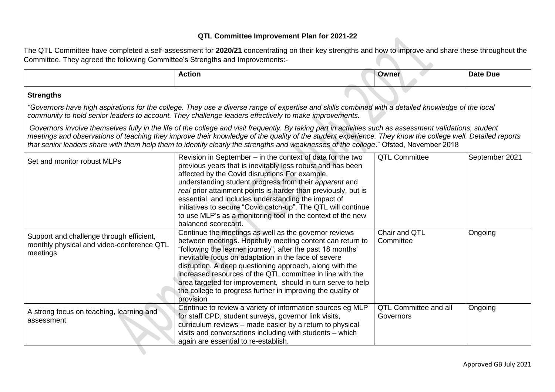## **QTL Committee Improvement Plan for 2021-22**

The QTL Committee have completed a self-assessment for **2020/21** concentrating on their key strengths and how to improve and share these throughout the Committee. They agreed the following Committee's Strengths and Improvements: z,

|                                                                                                                                                                                                                                                                                                                                                                                                                                                                | <b>Action</b>                                                                                                                                                                                                                                                                                                                                                                                                                                                                                                        | Owner                                     | <b>Date Due</b> |  |  |
|----------------------------------------------------------------------------------------------------------------------------------------------------------------------------------------------------------------------------------------------------------------------------------------------------------------------------------------------------------------------------------------------------------------------------------------------------------------|----------------------------------------------------------------------------------------------------------------------------------------------------------------------------------------------------------------------------------------------------------------------------------------------------------------------------------------------------------------------------------------------------------------------------------------------------------------------------------------------------------------------|-------------------------------------------|-----------------|--|--|
| <b>Strengths</b>                                                                                                                                                                                                                                                                                                                                                                                                                                               |                                                                                                                                                                                                                                                                                                                                                                                                                                                                                                                      |                                           |                 |  |  |
| "Governors have high aspirations for the college. They use a diverse range of expertise and skills combined with a detailed knowledge of the local<br>community to hold senior leaders to account. They challenge leaders effectively to make improvements.                                                                                                                                                                                                    |                                                                                                                                                                                                                                                                                                                                                                                                                                                                                                                      |                                           |                 |  |  |
| Governors involve themselves fully in the life of the college and visit frequently. By taking part in activities such as assessment validations, student<br>meetings and observations of teaching they improve their knowledge of the quality of the student experience. They know the college well. Detailed reports<br>that senior leaders share with them help them to identify clearly the strengths and weaknesses of the college." Ofsted, November 2018 |                                                                                                                                                                                                                                                                                                                                                                                                                                                                                                                      |                                           |                 |  |  |
| Set and monitor robust MLPs                                                                                                                                                                                                                                                                                                                                                                                                                                    | Revision in September – in the context of data for the two<br>previous years that is inevitably less robust and has been<br>affected by the Covid disruptions For example,<br>understanding student progress from their apparent and<br>real prior attainment points is harder than previously, but is<br>essential, and includes understanding the impact of<br>initiatives to secure "Covid catch-up". The QTL will continue<br>to use MLP's as a monitoring tool in the context of the new<br>balanced scorecard. | <b>QTL Committee</b>                      | September 2021  |  |  |
| Support and challenge through efficient,<br>monthly physical and video-conference QTL<br>meetings                                                                                                                                                                                                                                                                                                                                                              | Continue the meetings as well as the governor reviews<br>between meetings. Hopefully meeting content can return to<br>"following the learner journey", after the past 18 months'<br>inevitable focus on adaptation in the face of severe<br>disruption. A deep questioning approach, along with the<br>increased resources of the QTL committee in line with the<br>area targeted for improvement, should in turn serve to help<br>the college to progress further in improving the quality of<br>provision          | Chair and QTL<br>Committee                | Ongoing         |  |  |
| A strong focus on teaching, learning and<br>assessment                                                                                                                                                                                                                                                                                                                                                                                                         | Continue to review a variety of information sources eg MLP<br>for staff CPD, student surveys, governor link visits,<br>curriculum reviews - made easier by a return to physical<br>visits and conversations including with students - which<br>again are essential to re-establish.                                                                                                                                                                                                                                  | <b>QTL Committee and all</b><br>Governors | Ongoing         |  |  |